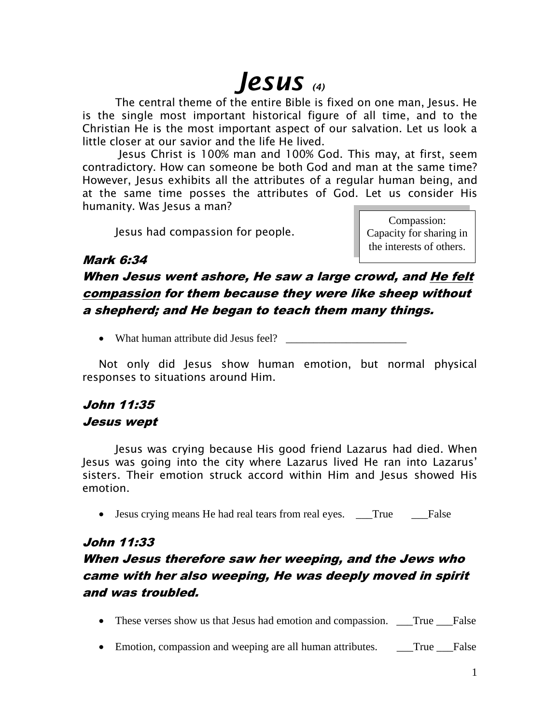# *Jesus (4)*

The central theme of the entire Bible is fixed on one man, Jesus. He is the single most important historical figure of all time, and to the Christian He is the most important aspect of our salvation. Let us look a little closer at our savior and the life He lived.

Jesus Christ is 100% man and 100% God. This may, at first, seem contradictory. How can someone be both God and man at the same time? However, Jesus exhibits all the attributes of a regular human being, and at the same time posses the attributes of God. Let us consider His humanity. Was Jesus a man?

Jesus had compassion for people.

Compassion: Capacity for sharing in the interests of others.

#### Mark 6:34

When Jesus went ashore, He saw a large crowd, and He felt compassion for them because they were like sheep without a shepherd; and He began to teach them many things.

• What human attribute did Jesus feel?

Not only did Jesus show human emotion, but normal physical responses to situations around Him.

## John 11:35 Jesus wept

Jesus was crying because His good friend Lazarus had died. When Jesus was going into the city where Lazarus lived He ran into Lazarus' sisters. Their emotion struck accord within Him and Jesus showed His emotion.

• Jesus crying means He had real tears from real eyes. True False

#### John 11:33

# When Jesus therefore saw her weeping, and the Jews who came with her also weeping, He was deeply moved in spirit and was troubled.

- These verses show us that Jesus had emotion and compassion. True False
- Emotion, compassion and weeping are all human attributes. True False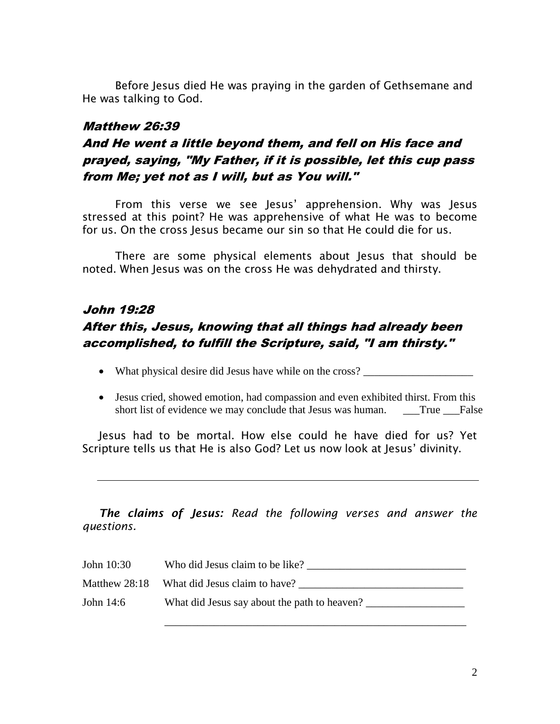Before Jesus died He was praying in the garden of Gethsemane and He was talking to God.

#### Matthew 26:39

# And He went a little beyond them, and fell on His face and prayed, saying, "My Father, if it is possible, let this cup pass from Me; yet not as I will, but as You will."

From this verse we see Jesus' apprehension. Why was Jesus stressed at this point? He was apprehensive of what He was to become for us. On the cross Jesus became our sin so that He could die for us.

There are some physical elements about Jesus that should be noted. When Jesus was on the cross He was dehydrated and thirsty.

# John 19:28 After this, Jesus, knowing that all things had already been accomplished, to fulfill the Scripture, said, "I am thirsty."

- What physical desire did Jesus have while on the cross? \_\_\_\_\_\_\_\_\_\_\_\_\_\_\_\_\_\_\_\_\_\_
- Jesus cried, showed emotion, had compassion and even exhibited thirst. From this short list of evidence we may conclude that Jesus was human. \_\_\_True \_\_\_False

Jesus had to be mortal. How else could he have died for us? Yet Scripture tells us that He is also God? Let us now look at Jesus' divinity.

*The claims of Jesus: Read the following verses and answer the questions.*

| John 10:30    | Who did Jesus claim to be like?              |
|---------------|----------------------------------------------|
| Matthew 28:18 | What did Jesus claim to have?                |
| John 14:6     | What did Jesus say about the path to heaven? |

\_\_\_\_\_\_\_\_\_\_\_\_\_\_\_\_\_\_\_\_\_\_\_\_\_\_\_\_\_\_\_\_\_\_\_\_\_\_\_\_\_\_\_\_\_\_\_\_\_\_\_\_\_\_\_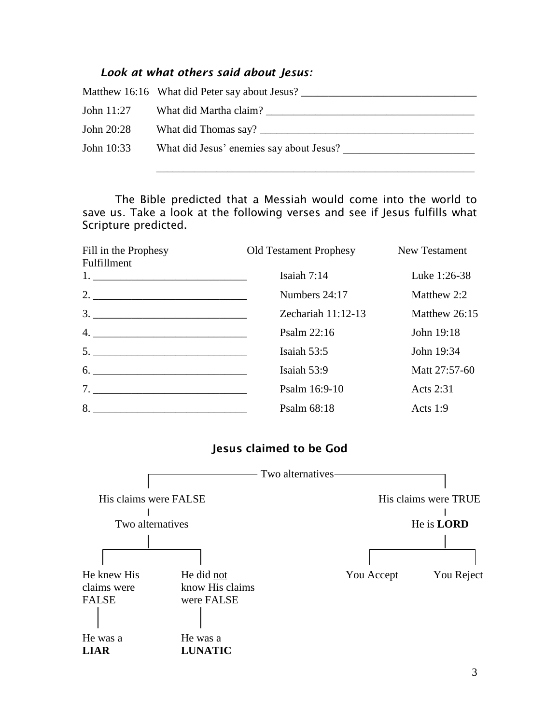## *Look at what others said about Jesus:*

|            | Matthew 16:16 What did Peter say about Jesus? |
|------------|-----------------------------------------------|
| John 11:27 | What did Martha claim?                        |
| John 20:28 | What did Thomas say?                          |
| John 10:33 | What did Jesus' enemies say about Jesus?      |
|            |                                               |

The Bible predicted that a Messiah would come into the world to save us. Take a look at the following verses and see if Jesus fulfills what Scripture predicted.

| Fill in the Prophesy<br>Fulfillment                                                   | Old Testament Prophesy | New Testament |
|---------------------------------------------------------------------------------------|------------------------|---------------|
|                                                                                       | Isaiah $7:14$          | Luke 1:26-38  |
|                                                                                       | Numbers 24:17          | Matthew 2:2   |
| $\begin{array}{c}\n3. \quad \textcolor{blue}{\overline{\qquad \qquad }}\n\end{array}$ | Zechariah $11:12-13$   | Matthew 26:15 |
|                                                                                       | Psalm 22:16            | John 19:18    |
| $\begin{array}{c}\n5. \quad \textcolor{blue}{\textbf{5.2}}\n\end{array}$              | Isaiah $53:5$          | John 19:34    |
| $6. \underline{\hspace{1.5cm}}$                                                       | Isaiah 53:9            | Matt 27:57-60 |
|                                                                                       | Psalm 16:9-10          | Acts 2:31     |
| $8. \underline{\hspace{2cm}}$                                                         | Psalm 68:18            | Acts $1:9$    |

## **Jesus claimed to be God**

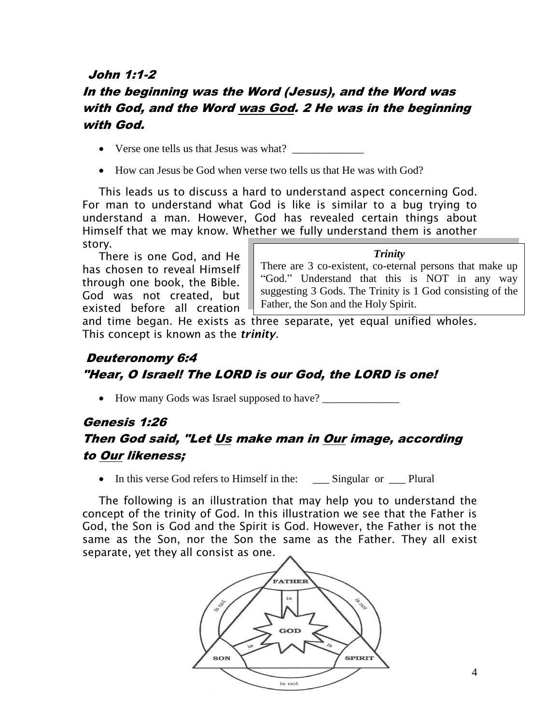#### John 1:1-2

## In the beginning was the Word (Jesus), and the Word was with God, and the Word was God. 2 He was in the beginning with God.

- Verse one tells us that Jesus was what?
- How can Jesus be God when verse two tells us that He was with God?

This leads us to discuss a hard to understand aspect concerning God. For man to understand what God is like is similar to a bug trying to understand a man. However, God has revealed certain things about Himself that we may know. Whether we fully understand them is another story.

There is one God, and He has chosen to reveal Himself through one book, the Bible. God was not created, but existed before all creation

#### *Trinity*

There are 3 co-existent, co-eternal persons that make up "God." Understand that this is NOT in any way suggesting 3 Gods. The Trinity is 1 God consisting of the Father, the Son and the Holy Spirit.

and time began. He exists as three separate, yet equal unified wholes. This concept is known as the *trinity*.

#### Deuteronomy 6:4 "Hear, O Israel! The LORD is our God, the LORD is one!

• How many Gods was Israel supposed to have?

# Genesis 1:26 Then God said, "Let Us make man in Our image, according to Our likeness;

• In this verse God refers to Himself in the: Singular or Plural

The following is an illustration that may help you to understand the concept of the trinity of God. In this illustration we see that the Father is God, the Son is God and the Spirit is God. However, the Father is not the same as the Son, nor the Son the same as the Father. They all exist separate, yet they all consist as one.

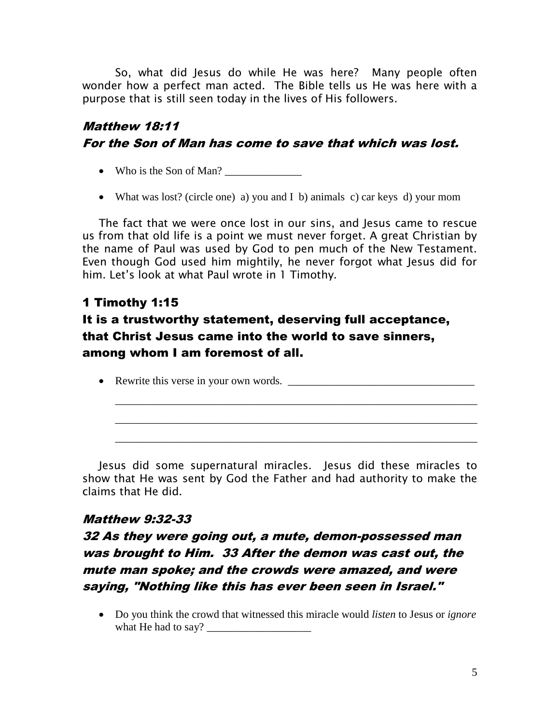So, what did Jesus do while He was here? Many people often wonder how a perfect man acted. The Bible tells us He was here with a purpose that is still seen today in the lives of His followers.

# Matthew 18:11 For the Son of Man has come to save that which was lost.

- Who is the Son of Man?
- What was lost? (circle one) a) you and I b) animals c) car keys d) your mom

The fact that we were once lost in our sins, and Jesus came to rescue us from that old life is a point we must never forget. A great Christian by the name of Paul was used by God to pen much of the New Testament. Even though God used him mightily, he never forgot what Jesus did for him. Let's look at what Paul wrote in 1 Timothy.

## 1 Timothy 1:15

# It is a trustworthy statement, deserving full acceptance, that Christ Jesus came into the world to save sinners, among whom I am foremost of all.

Rewrite this verse in your own words. \_\_\_\_\_\_\_\_\_\_\_\_\_\_\_\_\_\_\_\_\_\_\_\_\_\_\_\_\_\_\_\_\_\_

\_\_\_\_\_\_\_\_\_\_\_\_\_\_\_\_\_\_\_\_\_\_\_\_\_\_\_\_\_\_\_\_\_\_\_\_\_\_\_\_\_\_\_\_\_\_\_\_\_\_\_\_\_\_\_\_\_\_\_\_\_\_\_\_\_\_

\_\_\_\_\_\_\_\_\_\_\_\_\_\_\_\_\_\_\_\_\_\_\_\_\_\_\_\_\_\_\_\_\_\_\_\_\_\_\_\_\_\_\_\_\_\_\_\_\_\_\_\_\_\_\_\_\_\_\_\_\_\_\_\_\_\_

\_\_\_\_\_\_\_\_\_\_\_\_\_\_\_\_\_\_\_\_\_\_\_\_\_\_\_\_\_\_\_\_\_\_\_\_\_\_\_\_\_\_\_\_\_\_\_\_\_\_\_\_\_\_\_\_\_\_\_\_\_\_\_\_\_\_

Jesus did some supernatural miracles. Jesus did these miracles to show that He was sent by God the Father and had authority to make the claims that He did.

#### Matthew 9:32-33

# 32 As they were going out, a mute, demon-possessed man was brought to Him. 33 After the demon was cast out, the mute man spoke; and the crowds were amazed, and were saying, "Nothing like this has ever been seen in Israel."

 Do you think the crowd that witnessed this miracle would *listen* to Jesus or *ignore* what He had to say?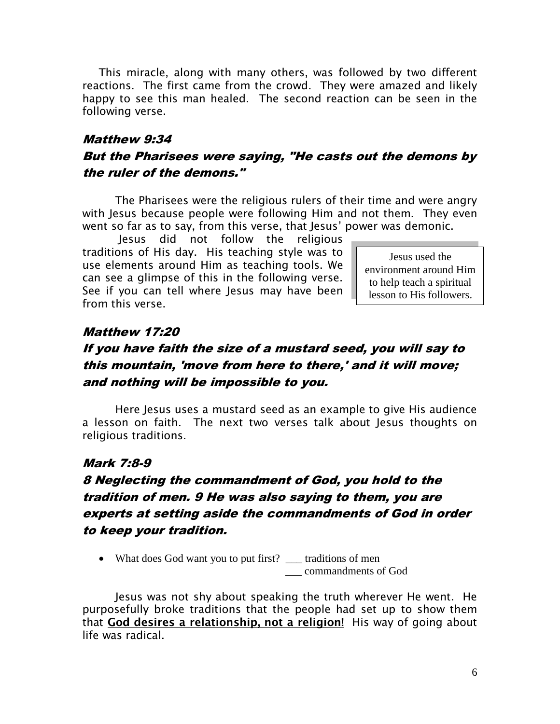This miracle, along with many others, was followed by two different reactions. The first came from the crowd. They were amazed and likely happy to see this man healed. The second reaction can be seen in the following verse.

#### Matthew 9:34

#### But the Pharisees were saying, "He casts out the demons by the ruler of the demons."

The Pharisees were the religious rulers of their time and were angry with Jesus because people were following Him and not them. They even went so far as to say, from this verse, that Jesus' power was demonic.

Jesus did not follow the religious traditions of His day. His teaching style was to use elements around Him as teaching tools. We can see a glimpse of this in the following verse. See if you can tell where Jesus may have been from this verse.

Jesus used the environment around Him to help teach a spiritual lesson to His followers.

#### Matthew 17:20

# If you have faith the size of a mustard seed, you will say to this mountain, 'move from here to there,' and it will move; and nothing will be impossible to you.

Here Jesus uses a mustard seed as an example to give His audience a lesson on faith. The next two verses talk about Jesus thoughts on religious traditions.

#### Mark 7:8-9

# 8 Neglecting the commandment of God, you hold to the tradition of men. 9 He was also saying to them, you are experts at setting aside the commandments of God in order to keep your tradition.

• What does God want you to put first? \_\_\_ traditions of men \_\_\_ commandments of God

Jesus was not shy about speaking the truth wherever He went. He purposefully broke traditions that the people had set up to show them that **God desires a relationship, not a religion!** His way of going about life was radical.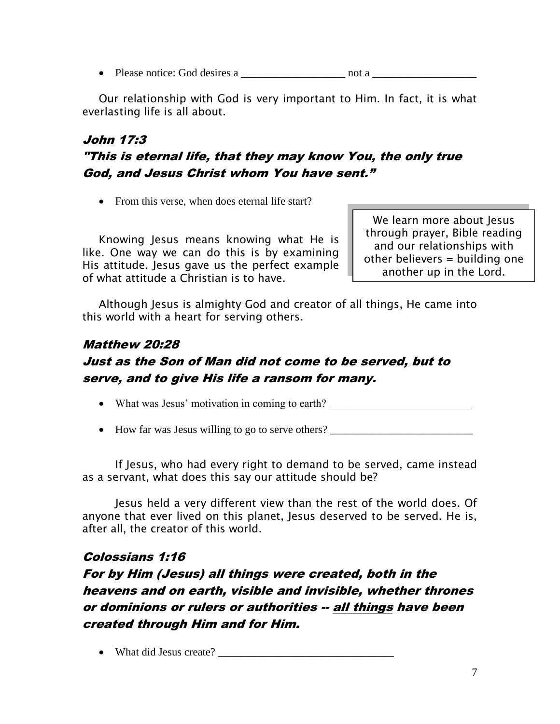• Please notice: God desires a \_\_\_\_\_\_\_\_\_\_\_\_\_\_\_\_\_\_\_\_\_\_\_ not a \_\_\_\_\_\_\_\_\_\_\_\_\_\_\_\_\_\_\_

Our relationship with God is very important to Him. In fact, it is what everlasting life is all about.

# John 17:3 "This is eternal life, that they may know You, the only true God, and Jesus Christ whom You have sent."

• From this verse, when does eternal life start?

Knowing Jesus means knowing what He is like. One way we can do this is by examining His attitude. Jesus gave us the perfect example of what attitude a Christian is to have.

We learn more about Jesus through prayer, Bible reading and our relationships with other believers = building one another up in the Lord.

Although Jesus is almighty God and creator of all things, He came into this world with a heart for serving others.

## Matthew 20:28 Just as the Son of Man did not come to be served, but to serve, and to give His life a ransom for many.

• What was Jesus' motivation in coming to earth?

• How far was Jesus willing to go to serve others?

If Jesus, who had every right to demand to be served, came instead as a servant, what does this say our attitude should be?

Jesus held a very different view than the rest of the world does. Of anyone that ever lived on this planet, Jesus deserved to be served. He is, after all, the creator of this world.

## Colossians 1:16

For by Him (Jesus) all things were created, both in the heavens and on earth, visible and invisible, whether thrones or dominions or rulers or authorities -- all things have been created through Him and for Him.

• What did Jesus create?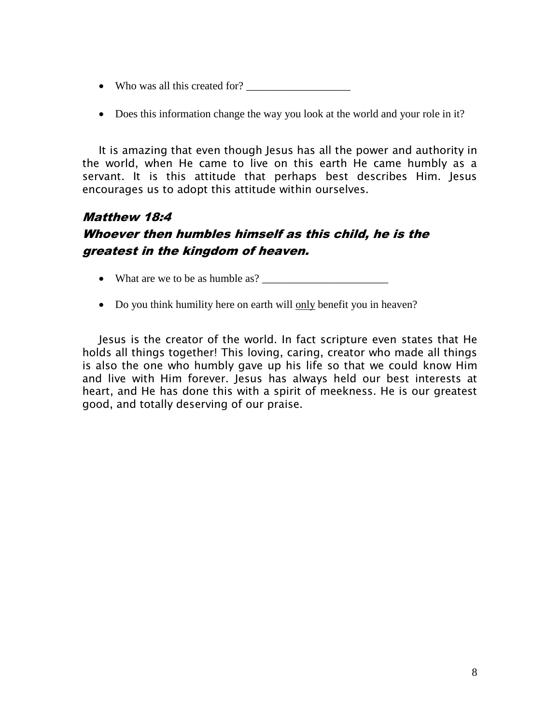- Who was all this created for?
- Does this information change the way you look at the world and your role in it?

It is amazing that even though Jesus has all the power and authority in the world, when He came to live on this earth He came humbly as a servant. It is this attitude that perhaps best describes Him. Jesus encourages us to adopt this attitude within ourselves.

# Matthew 18:4 Whoever then humbles himself as this child, he is the greatest in the kingdom of heaven.

- What are we to be as humble as?
- Do you think humility here on earth will only benefit you in heaven?

Jesus is the creator of the world. In fact scripture even states that He holds all things together! This loving, caring, creator who made all things is also the one who humbly gave up his life so that we could know Him and live with Him forever. Jesus has always held our best interests at heart, and He has done this with a spirit of meekness. He is our greatest good, and totally deserving of our praise.